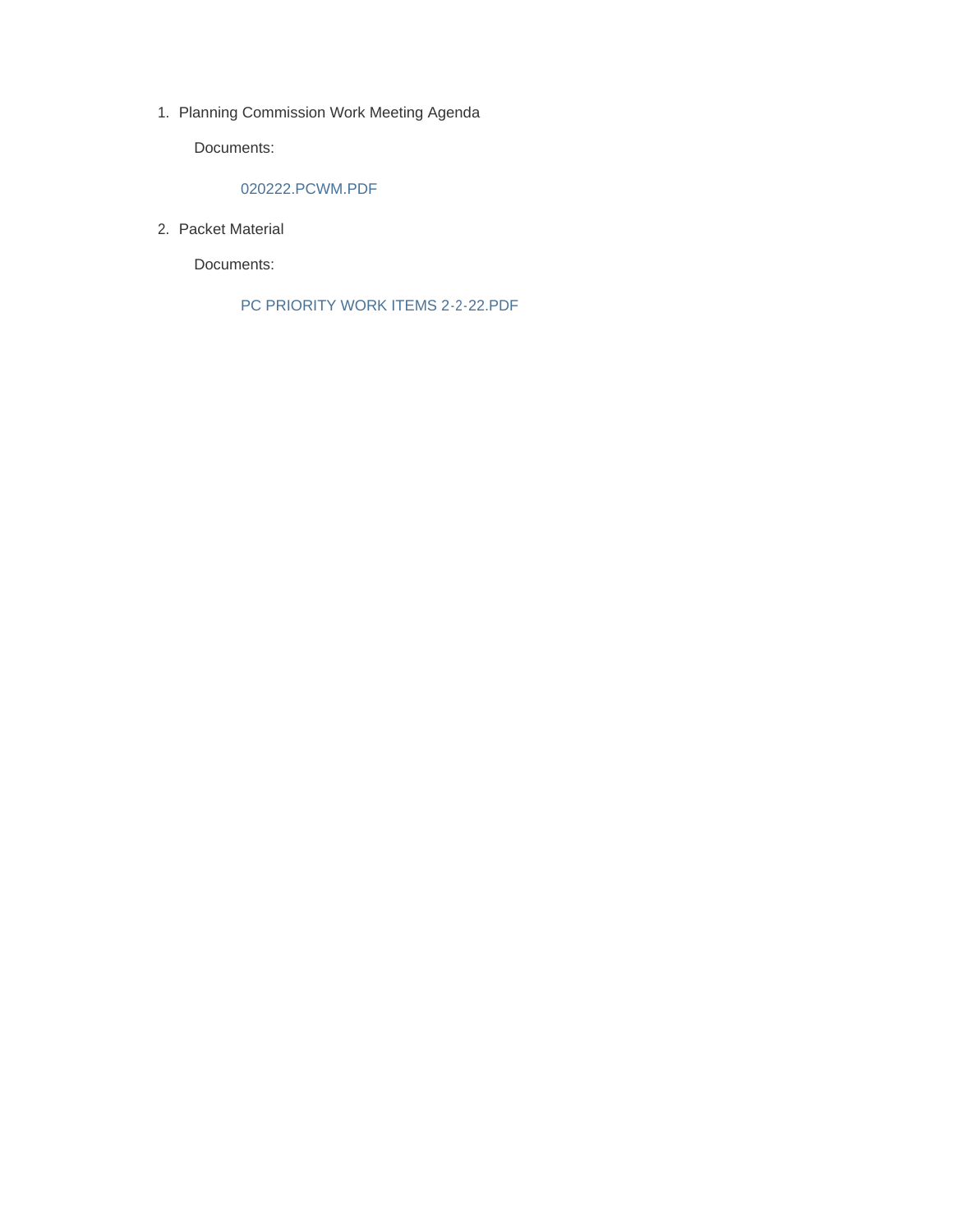1. Planning Commission Work Meeting Agenda

Documents:

### 020222.PCWM.PDF

2. Packet Material

Documents:

PC PRIORITY WORK ITEMS 2-2-22.PDF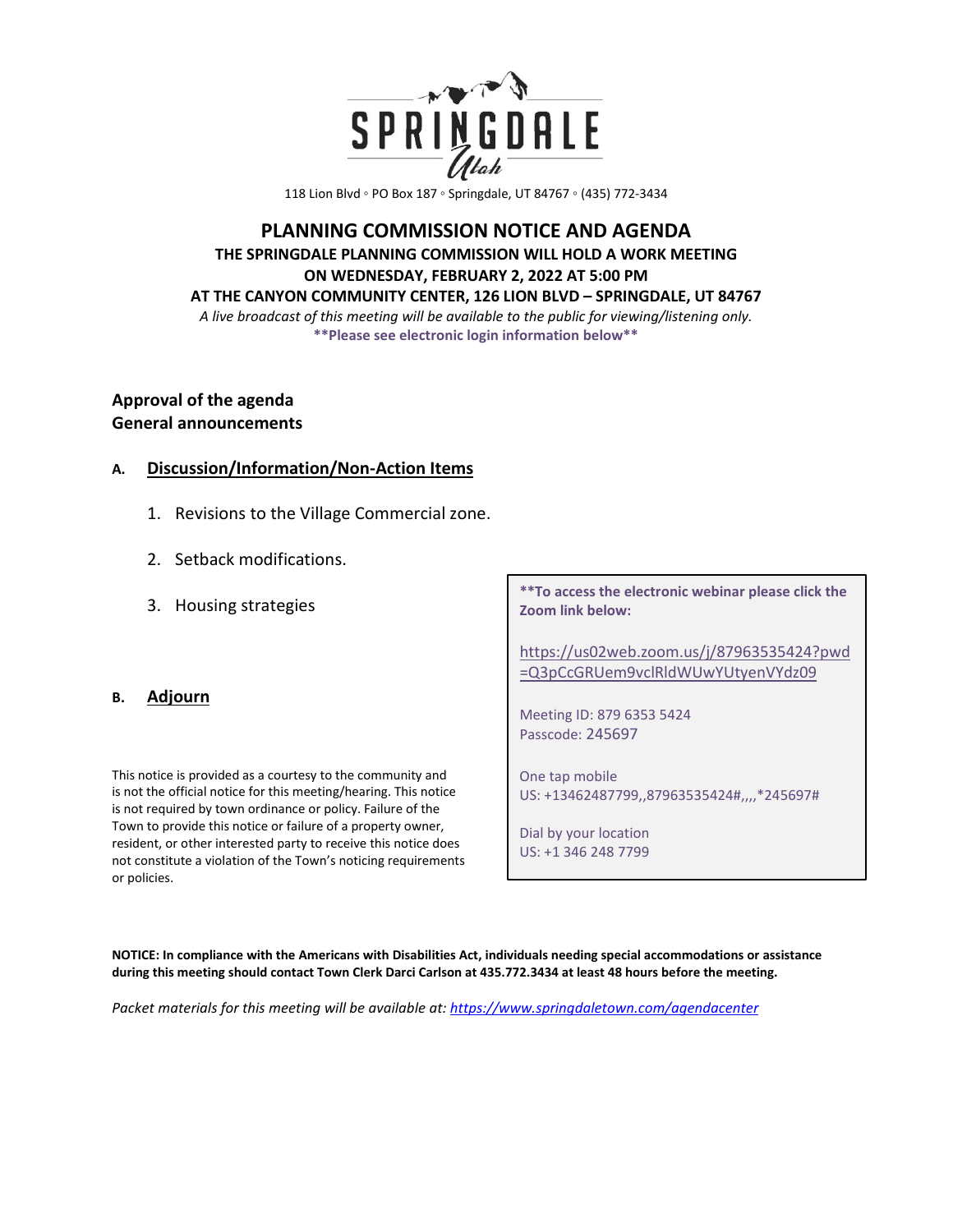

118 Lion Blvd ◦ PO Box 187 ◦ Springdale, UT 84767 ◦ (435) 772-3434

# **PLANNING COMMISSION NOTICE AND AGENDA THE SPRINGDALE PLANNING COMMISSION WILL HOLD A WORK MEETING ON WEDNESDAY, FEBRUARY 2, 2022 AT 5:00 PM AT THE CANYON COMMUNITY CENTER, 126 LION BLVD – SPRINGDALE, UT 84767**

*A live broadcast of this meeting will be available to the public for viewing/listening only.*  **\*\*Please see electronic login information below\*\***

# **Approval of the agenda General announcements**

## **A. Discussion/Information/Non-Action Items**

- 1. Revisions to the Village Commercial zone.
- 2. Setback modifications.
- 3. Housing strategies

### **B. Adjourn**

This notice is provided as a courtesy to the community and is not the official notice for this meeting/hearing. This notice is not required by town ordinance or policy. Failure of the Town to provide this notice or failure of a property owner, resident, or other interested party to receive this notice does not constitute a violation of the Town's noticing requirements or policies.

**\*\*To access the electronic webinar please click the Zoom link below:** 

[https://us02web.zoom.us/j/87963535424?pwd](https://us02web.zoom.us/j/87963535424?pwd=Q3pCcGRUem9vclRldWUwYUtyenVYdz09) [=Q3pCcGRUem9vclRldWUwYUtyenVYdz09](https://us02web.zoom.us/j/87963535424?pwd=Q3pCcGRUem9vclRldWUwYUtyenVYdz09)

Meeting ID: 879 6353 5424 Passcode: 245697

One tap mobile US: +13462487799,,87963535424#,,,,\*245697#

Dial by your location US: +1 346 248 7799

**NOTICE: In compliance with the Americans with Disabilities Act, individuals needing special accommodations or assistance during this meeting should contact Town Clerk Darci Carlson at 435.772.3434 at least 48 hours before the meeting.** 

*Packet materials for this meeting will be available at[: https://www.springdaletown.com/agendacenter](https://www.springdaletown.com/agendacenter)*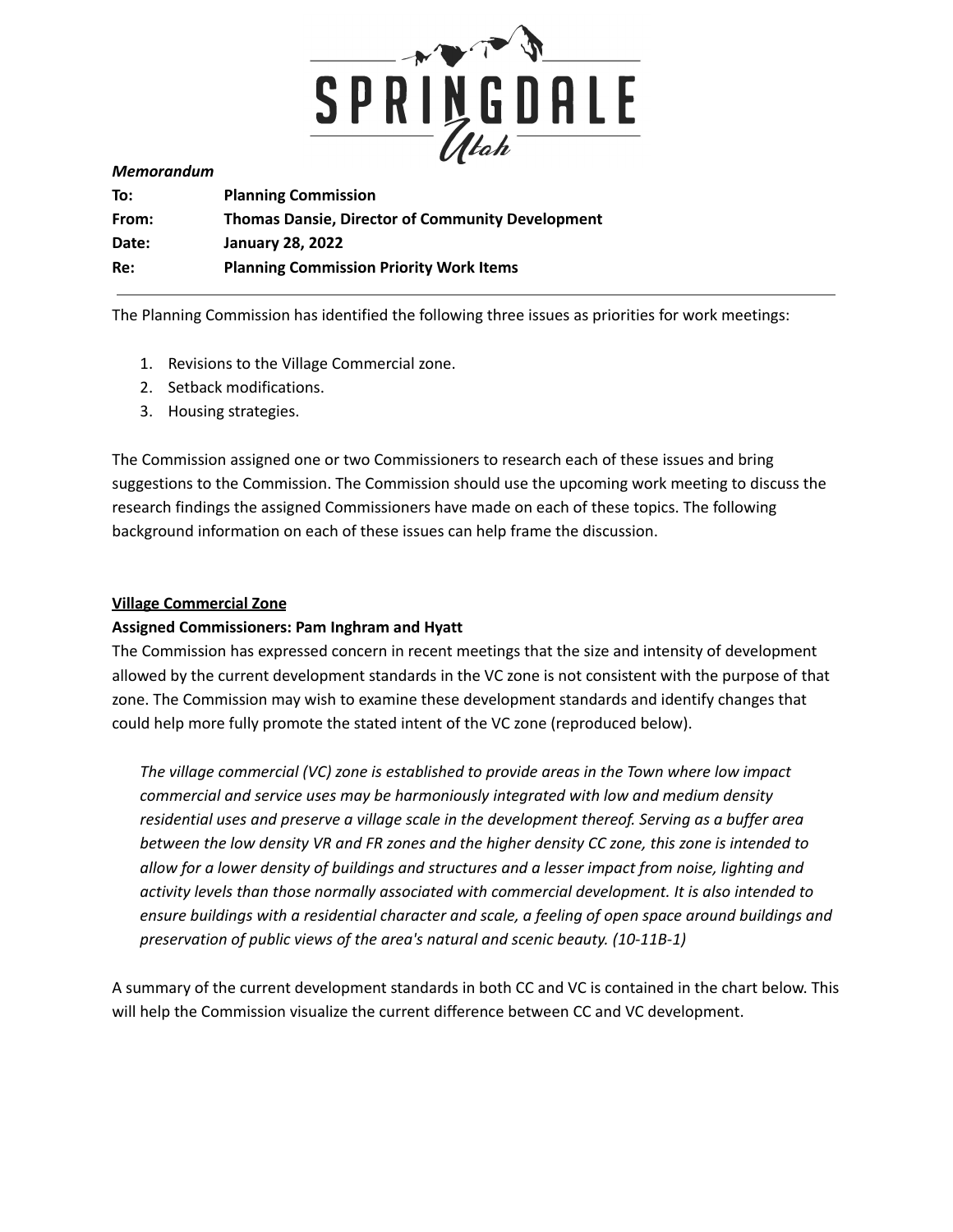

#### *Memorandum*

| To:   | <b>Planning Commission</b>                              |
|-------|---------------------------------------------------------|
| From: | <b>Thomas Dansie, Director of Community Development</b> |
| Date: | <b>January 28, 2022</b>                                 |
| Re:   | <b>Planning Commission Priority Work Items</b>          |

The Planning Commission has identified the following three issues as priorities for work meetings:

- 1. Revisions to the Village Commercial zone.
- 2. Setback modifications.
- 3. Housing strategies.

The Commission assigned one or two Commissioners to research each of these issues and bring suggestions to the Commission. The Commission should use the upcoming work meeting to discuss the research findings the assigned Commissioners have made on each of these topics. The following background information on each of these issues can help frame the discussion.

### **Village Commercial Zone**

### **Assigned Commissioners: Pam Inghram and Hyatt**

The Commission has expressed concern in recent meetings that the size and intensity of development allowed by the current development standards in the VC zone is not consistent with the purpose of that zone. The Commission may wish to examine these development standards and identify changes that could help more fully promote the stated intent of the VC zone (reproduced below).

*The village commercial (VC) zone is established to provide areas in the Town where low impact commercial and service uses may be harmoniously integrated with low and medium density residential uses and preserve a village scale in the development thereof. Serving as a buffer area* between the low density VR and FR zones and the higher density CC zone, this zone is intended to *allow for a lower density of buildings and structures and a lesser impact from noise, lighting and activity levels than those normally associated with commercial development. It is also intended to ensure buildings with a residential character and scale, a feeling of open space around buildings and preservation of public views of the area's natural and scenic beauty. (10-11B-1)*

A summary of the current development standards in both CC and VC is contained in the chart below. This will help the Commission visualize the current difference between CC and VC development.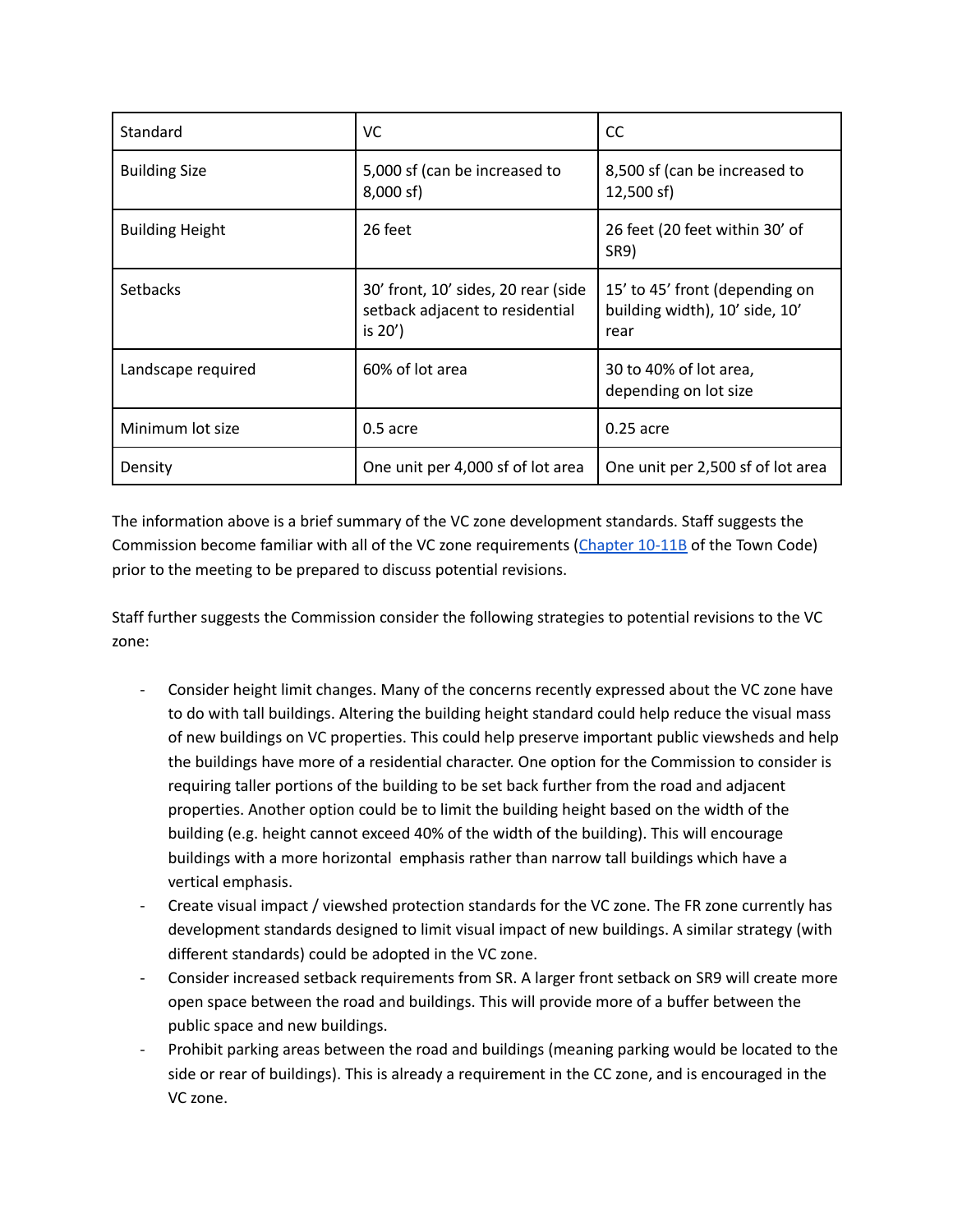| Standard               | <b>VC</b>                                                                            | <b>CC</b>                                                                |
|------------------------|--------------------------------------------------------------------------------------|--------------------------------------------------------------------------|
| <b>Building Size</b>   | 5,000 sf (can be increased to<br>$8,000$ sf)                                         | 8,500 sf (can be increased to<br>$12,500$ sf)                            |
| <b>Building Height</b> | 26 feet                                                                              | 26 feet (20 feet within 30' of<br>SR9)                                   |
| <b>Setbacks</b>        | 30' front, 10' sides, 20 rear (side<br>setback adjacent to residential<br>is $20'$ ) | 15' to 45' front (depending on<br>building width), 10' side, 10'<br>rear |
| Landscape required     | 60% of lot area                                                                      | 30 to 40% of lot area,<br>depending on lot size                          |
| Minimum lot size       | $0.5$ acre                                                                           | 0.25 acre                                                                |
| Density                | One unit per 4,000 sf of lot area                                                    | One unit per 2,500 sf of lot area                                        |

The information above is a brief summary of the VC zone development standards. Staff suggests the Commission become familiar with all of the VC zone requirements ([Chapter](https://library.municode.com/ut/springdale/codes/code_of_ordinances?nodeId=TIT10LAUSOR_CH11COZO_ARTBVICOVCZO) 10-11B of the Town Code) prior to the meeting to be prepared to discuss potential revisions.

Staff further suggests the Commission consider the following strategies to potential revisions to the VC zone:

- Consider height limit changes. Many of the concerns recently expressed about the VC zone have to do with tall buildings. Altering the building height standard could help reduce the visual mass of new buildings on VC properties. This could help preserve important public viewsheds and help the buildings have more of a residential character. One option for the Commission to consider is requiring taller portions of the building to be set back further from the road and adjacent properties. Another option could be to limit the building height based on the width of the building (e.g. height cannot exceed 40% of the width of the building). This will encourage buildings with a more horizontal emphasis rather than narrow tall buildings which have a vertical emphasis.
- Create visual impact / viewshed protection standards for the VC zone. The FR zone currently has development standards designed to limit visual impact of new buildings. A similar strategy (with different standards) could be adopted in the VC zone.
- Consider increased setback requirements from SR. A larger front setback on SR9 will create more open space between the road and buildings. This will provide more of a buffer between the public space and new buildings.
- Prohibit parking areas between the road and buildings (meaning parking would be located to the side or rear of buildings). This is already a requirement in the CC zone, and is encouraged in the VC zone.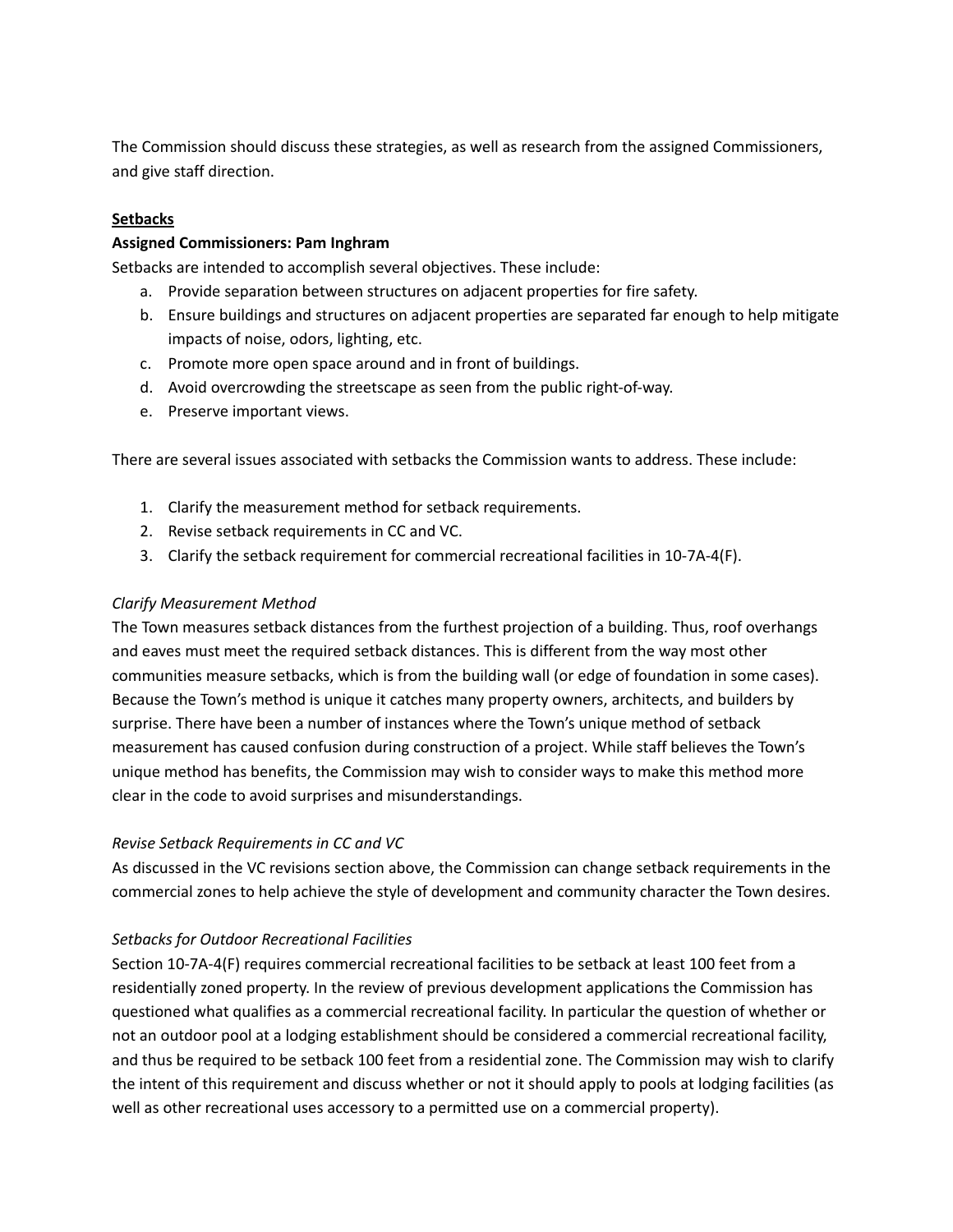The Commission should discuss these strategies, as well as research from the assigned Commissioners, and give staff direction.

## **Setbacks**

#### **Assigned Commissioners: Pam Inghram**

Setbacks are intended to accomplish several objectives. These include:

- a. Provide separation between structures on adjacent properties for fire safety.
- b. Ensure buildings and structures on adjacent properties are separated far enough to help mitigate impacts of noise, odors, lighting, etc.
- c. Promote more open space around and in front of buildings.
- d. Avoid overcrowding the streetscape as seen from the public right-of-way.
- e. Preserve important views.

There are several issues associated with setbacks the Commission wants to address. These include:

- 1. Clarify the measurement method for setback requirements.
- 2. Revise setback requirements in CC and VC.
- 3. Clarify the setback requirement for commercial recreational facilities in 10-7A-4(F).

### *Clarify Measurement Method*

The Town measures setback distances from the furthest projection of a building. Thus, roof overhangs and eaves must meet the required setback distances. This is different from the way most other communities measure setbacks, which is from the building wall (or edge of foundation in some cases). Because the Town's method is unique it catches many property owners, architects, and builders by surprise. There have been a number of instances where the Town's unique method of setback measurement has caused confusion during construction of a project. While staff believes the Town's unique method has benefits, the Commission may wish to consider ways to make this method more clear in the code to avoid surprises and misunderstandings.

### *Revise Setback Requirements in CC and VC*

As discussed in the VC revisions section above, the Commission can change setback requirements in the commercial zones to help achieve the style of development and community character the Town desires.

### *Setbacks for Outdoor Recreational Facilities*

Section 10-7A-4(F) requires commercial recreational facilities to be setback at least 100 feet from a residentially zoned property. In the review of previous development applications the Commission has questioned what qualifies as a commercial recreational facility. In particular the question of whether or not an outdoor pool at a lodging establishment should be considered a commercial recreational facility, and thus be required to be setback 100 feet from a residential zone. The Commission may wish to clarify the intent of this requirement and discuss whether or not it should apply to pools at lodging facilities (as well as other recreational uses accessory to a permitted use on a commercial property).